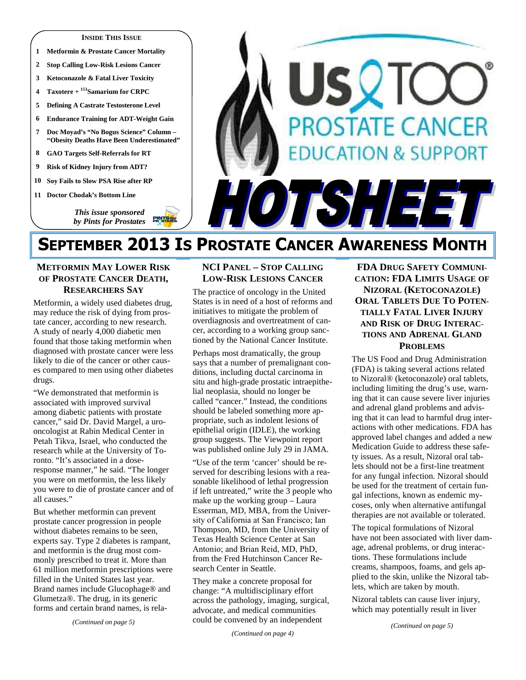### **INSIDE THIS ISSUE**

- **1 Metformin & Prostate Cancer Mortality**
- **2 Stop Calling Low-Risk Lesions Cancer**
- **3 Ketoconazole & Fatal Liver Toxicity**
- **4 Taxotere + <sup>153</sup>Samarium for CRPC**
- **5 Defining A Castrate Testosterone Level**
- **6 Endurance Training for ADT-Weight Gain**
- **7 Doc Moyad's "No Bogus Science" Column "Obesity Deaths Have Been Underestimated"**
- **8 GAO Targets Self-Referrals for RT**
- **9 Risk of Kidney Injury from ADT?**
- **10 Soy Fails to Slow PSA Rise after RP**
- **11 Doctor Chodak's Bottom Line**

*This issue sponsored by Pints for Prostates* 

# **STATE CANO** ON & SUPP r le

# **SEPTEMBER 2013 IS PROSTATE CANCER AWARENESS MONTH**

# **METFORMIN MAY LOWER RISK OF PROSTATE CANCER DEATH, RESEARCHERS SAY**

Metformin, a widely used diabetes drug, may reduce the risk of dying from prostate cancer, according to new research. A study of nearly 4,000 diabetic men found that those taking metformin when diagnosed with prostate cancer were less likely to die of the cancer or other causes compared to men using other diabetes drugs.

"We demonstrated that metformin is associated with improved survival among diabetic patients with prostate cancer," said Dr. David Margel, a urooncologist at Rabin Medical Center in Petah Tikva, Israel, who conducted the research while at the University of Toronto. "It's associated in a doseresponse manner," he said. "The longer you were on metformin, the less likely you were to die of prostate cancer and of all causes."

But whether metformin can prevent prostate cancer progression in people without diabetes remains to be seen, experts say. Type 2 diabetes is rampant, and metformin is the drug most commonly prescribed to treat it. More than 61 million metformin prescriptions were filled in the United States last year. Brand names include Glucophage® and Glumetza®. The drug, in its generic forms and certain brand names, is rela-

*(Continued on page 5)* 

# **NCI PANEL – STOP CALLING LOW-RISK LESIONS CANCER**

The practice of oncology in the United States is in need of a host of reforms and initiatives to mitigate the problem of overdiagnosis and overtreatment of cancer, according to a working group sanctioned by the National Cancer Institute.

Perhaps most dramatically, the group says that a number of premalignant conditions, including ductal carcinoma in situ and high-grade prostatic intraepithelial neoplasia, should no longer be called "cancer." Instead, the conditions should be labeled something more appropriate, such as indolent lesions of epithelial origin (IDLE), the working group suggests. The Viewpoint report was published online July 29 in JAMA.

"Use of the term 'cancer' should be reserved for describing lesions with a reasonable likelihood of lethal progression if left untreated," write the 3 people who make up the working group – Laura Esserman, MD, MBA, from the University of California at San Francisco; Ian Thompson, MD, from the University of Texas Health Science Center at San Antonio; and Brian Reid, MD, PhD, from the Fred Hutchinson Cancer Research Center in Seattle.

They make a concrete proposal for change: "A multidisciplinary effort across the pathology, imaging, surgical, advocate, and medical communities could be convened by an independent

*(Continued on page 4)* 

**FDA DRUG SAFETY COMMUNI-CATION: FDA LIMITS USAGE OF NIZORAL (KETOCONAZOLE) ORAL TABLETS DUE TO POTEN-TIALLY FATAL LIVER INJURY AND RISK OF DRUG INTERAC-TIONS AND ADRENAL GLAND PROBLEMS**

The US Food and Drug Administration (FDA) is taking several actions related to Nizoral® (ketoconazole) oral tablets, including limiting the drug's use, warning that it can cause severe liver injuries and adrenal gland problems and advising that it can lead to harmful drug interactions with other medications. FDA has approved label changes and added a new Medication Guide to address these safety issues. As a result, Nizoral oral tablets should not be a first-line treatment for any fungal infection. Nizoral should be used for the treatment of certain fungal infections, known as endemic mycoses, only when alternative antifungal therapies are not available or tolerated.

The topical formulations of Nizoral have not been associated with liver damage, adrenal problems, or drug interactions. These formulations include creams, shampoos, foams, and gels applied to the skin, unlike the Nizoral tablets, which are taken by mouth.

Nizoral tablets can cause liver injury, which may potentially result in liver

*(Continued on page 5)*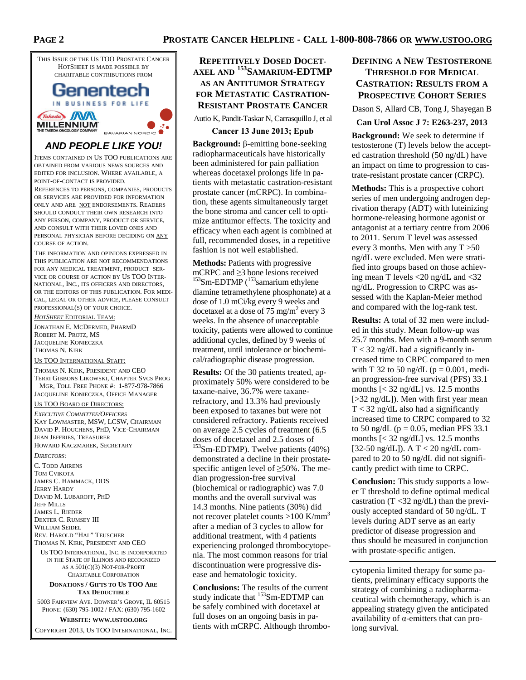

# Genentech IN BUSINESS FOR LIFE Takeda WM **MILLENNIUM**

# **AND PEOPLE LIKE YOU!**

BAVARIAN NORDIC

ITEMS CONTAINED IN US TOO PUBLICATIONS ARE OBTAINED FROM VARIOUS NEWS SOURCES AND EDITED FOR INCLUSION. WHERE AVAILABLE, A POINT-OF-CONTACT IS PROVIDED.

REFERENCES TO PERSONS, COMPANIES, PRODUCTS OR SERVICES ARE PROVIDED FOR INFORMATION ONLY AND ARE NOT ENDORSEMENTS. READERS SHOULD CONDUCT THEIR OWN RESEARCH INTO ANY PERSON, COMPANY, PRODUCT OR SERVICE, AND CONSULT WITH THEIR LOVED ONES AND PERSONAL PHYSICIAN BEFORE DECIDING ON ANY COURSE OF ACTION.

THE INFORMATION AND OPINIONS EXPRESSED IN THIS PUBLICATION ARE NOT RECOMMENDATIONS FOR ANY MEDICAL TREATMENT, PRODUCT SER-VICE OR COURSE OF ACTION BY US TOO INTER-NATIONAL, INC., ITS OFFICERS AND DIRECTORS, OR THE EDITORS OF THIS PUBLICATION. FOR MEDI-CAL, LEGAL OR OTHER ADVICE, PLEASE CONSULT PROFESSIONAL(S) OF YOUR CHOICE.

*HOTSHEET* EDITORIAL TEAM:

JONATHAN E. MCDERMED, PHARMD ROBERT M. PROTZ, MS JACQUELINE KONIECZKA THOMAS N. KIRK

US TOO INTERNATIONAL STAFF:

THOMAS N. KIRK, PRESIDENT AND CEO TERRI GIBBONS LIKOWSKI, CHAPTER SVCS PROG MGR, TOLL FREE PHONE #: 1-877-978-7866 JACQUELINE KONIECZKA, OFFICE MANAGER

### US TOO BOARD OF DIRECTORS:

*EXECUTIVE COMMITTEE/OFFICERS* KAY LOWMASTER, MSW, LCSW, CHAIRMAN DAVID P. HOUCHENS, PHD, VICE-CHAIRMAN JEAN JEFFRIES, TREASURER HOWARD KACZMAREK, SECRETARY

*DIRECTORS:* 

C. TODD AHRENS TOM CVIKOTA JAMES C. HAMMACK, DDS JERRY HARDY DAVID M. LUBAROFF, PHD **JEFF MILLS** JAMES L. RIEDER DEXTER C. RUMSEY III WILLIAM SEIDEL REV. HAROLD "HAL" TEUSCHER THOMAS N. KIRK, PRESIDENT AND CEO

US TOO INTERNATIONAL, INC. IS INCORPORATED IN THE STATE OF ILLINOIS AND RECOGNIZED AS A 501(C)(3) NOT-FOR-PROFIT CHARITABLE CORPORATION

### **DONATIONS / GIFTS TO US TOO ARE TAX DEDUCTIBLE**

5003 FAIRVIEW AVE. DOWNER'S GROVE, IL 60515 PHONE: (630) 795-1002 / FAX: (630) 795-1602

**WEBSITE: WWW.USTOO.ORG**

COPYRIGHT 2013, US TOO INTERNATIONAL, INC.

# **REPETITIVELY DOSED DOCET-AXEL AND <sup>153</sup>SAMARIUM-EDTMP AS AN ANTITUMOR STRATEGY FOR METASTATIC CASTRATION-RESISTANT PROSTATE CANCER**

Autio K, Pandit-Taskar N, Carrasquillo J, et al

# **Cancer 13 June 2013; Epub**

**Background:** β-emitting bone-seeking radiopharmaceuticals have historically been administered for pain palliation whereas docetaxel prolongs life in patients with metastatic castration-resistant prostate cancer (mCRPC). In combination, these agents simultaneously target the bone stroma and cancer cell to optimize antitumor effects. The toxicity and efficacy when each agent is combined at full, recommended doses, in a repetitive fashion is not well established.

**Methods:** Patients with progressive mCRPC and ≥3 bone lesions received  $153$ Sm-EDTMP ( $153$ samarium ethylene diamine tetramethylene phosphonate) at a dose of 1.0 mCi/kg every 9 weeks and docetaxel at a dose of  $75 \text{ mg/m}^2$  every 3 weeks. In the absence of unacceptable toxicity, patients were allowed to continue additional cycles, defined by 9 weeks of treatment, until intolerance or biochemical/radiographic disease progression.

**Results:** Of the 30 patients treated, approximately 50% were considered to be taxane-naive, 36.7% were taxanerefractory, and 13.3% had previously been exposed to taxanes but were not considered refractory. Patients received on average 2.5 cycles of treatment (6.5 doses of docetaxel and 2.5 doses of <sup>153</sup>Sm-EDTMP). Twelve patients (40%) demonstrated a decline in their prostatespecific antigen level of  $\geq$ 50%. The median progression-free survival (biochemical or radiographic) was 7.0 months and the overall survival was 14.3 months. Nine patients (30%) did not recover platelet counts  $>100$  K/mm<sup>3</sup> after a median of 3 cycles to allow for additional treatment, with 4 patients experiencing prolonged thrombocytopenia. The most common reasons for trial discontinuation were progressive disease and hematologic toxicity.

**Conclusions:** The results of the current study indicate that <sup>153</sup>Sm-EDTMP can be safely combined with docetaxel at full doses on an ongoing basis in patients with mCRPC. Although thrombo-

# **DEFINING A NEW TESTOSTERONE THRESHOLD FOR MEDICAL CASTRATION: RESULTS FROM A PROSPECTIVE COHORT SERIES**

Dason S, Allard CB, Tong J, Shayegan B

**Can Urol Assoc J 7: E263-237, 2013** 

**Background:** We seek to determine if testosterone (T) levels below the accepted castration threshold (50 ng/dL) have an impact on time to progression to castrate-resistant prostate cancer (CRPC).

**Methods:** This is a prospective cohort series of men undergoing androgen deprivation therapy (ADT) with luteinizing hormone-releasing hormone agonist or antagonist at a tertiary centre from 2006 to 2011. Serum T level was assessed every 3 months. Men with any  $T > 50$ ng/dL were excluded. Men were stratified into groups based on those achieving mean T levels <20 ng/dL and <32 ng/dL. Progression to CRPC was assessed with the Kaplan-Meier method and compared with the log-rank test.

**Results:** A total of 32 men were included in this study. Mean follow-up was 25.7 months. Men with a 9-month serum  $T < 32$  ng/dL had a significantly increased time to CRPC compared to men with T 32 to 50 ng/dL ( $p = 0.001$ , median progression-free survival (PFS) 33.1 months  $\left[ < 32$  ng/dL $\right]$  vs. 12.5 months [>32 ng/dL]). Men with first year mean  $T < 32$  ng/dL also had a significantly increased time to CRPC compared to 32 to 50 ng/dL ( $p = 0.05$ , median PFS 33.1 months  $\left[ < 32$  ng/dL $\right]$  vs. 12.5 months [32-50 ng/dL]). A T < 20 ng/dL compared to 20 to 50 ng/dL did not significantly predict with time to CRPC.

**Conclusion:** This study supports a lower T threshold to define optimal medical castration  $(T \leq 32 \text{ ng/dL})$  than the previously accepted standard of 50 ng/dL. T levels during ADT serve as an early predictor of disease progression and thus should be measured in conjunction with prostate-specific antigen.

cytopenia limited therapy for some patients, preliminary efficacy supports the strategy of combining a radiopharmaceutical with chemotherapy, which is an appealing strategy given the anticipated availability of α-emitters that can prolong survival.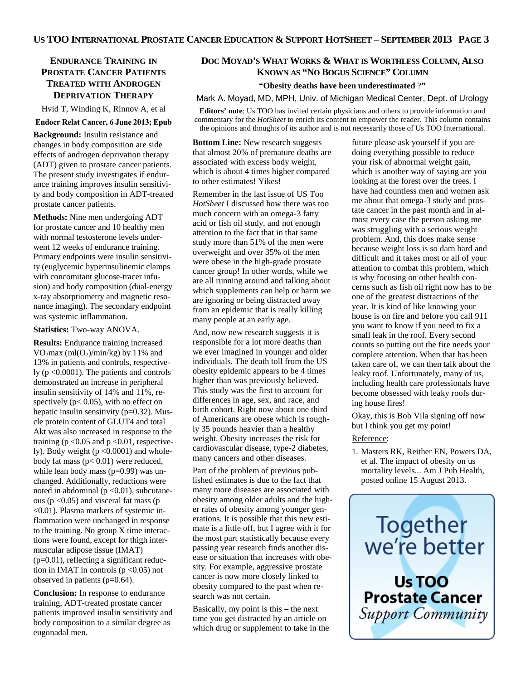# **ENDURANCE TRAINING IN PROSTATE CANCER PATIENTS TREATED WITH ANDROGEN DEPRIVATION THERAPY**

Hvid T, Winding K, Rinnov A, et al

### **Endocr Relat Cancer, 6 June 2013; Epub**

**Background:** Insulin resistance and changes in body composition are side effects of androgen deprivation therapy (ADT) given to prostate cancer patients. The present study investigates if endurance training improves insulin sensitivity and body composition in ADT-treated prostate cancer patients.

**Methods:** Nine men undergoing ADT for prostate cancer and 10 healthy men with normal testosterone levels underwent 12 weeks of endurance training. Primary endpoints were insulin sensitivity (euglycemic hyperinsulinemic clamps with concomitant glucose-tracer infusion) and body composition (dual-energy x-ray absorptiometry and magnetic resonance imaging). The secondary endpoint was systemic inflammation.

### **Statistics:** Two-way ANOVA.

**Results:** Endurance training increased  $VO<sub>2</sub>max (ml(O<sub>2</sub>)/min/kg)$  by 11% and 13% in patients and controls, respectively (p <0.0001). The patients and controls demonstrated an increase in peripheral insulin sensitivity of 14% and 11%, respectively ( $p < 0.05$ ), with no effect on hepatic insulin sensitivity (p=0.32). Muscle protein content of GLUT4 and total Akt was also increased in response to the training ( $p \le 0.05$  and  $p \le 0.01$ , respectively). Body weight  $(p < 0.0001)$  and wholebody fat mass  $(p< 0.01)$  were reduced, while lean body mass  $(p=0.99)$  was unchanged. Additionally, reductions were noted in abdominal ( $p < 0.01$ ), subcutaneous ( $p < 0.05$ ) and visceral fat mass ( $p$ <0.01). Plasma markers of systemic inflammation were unchanged in response to the training. No group X time interactions were found, except for thigh intermuscular adipose tissue (IMAT) (p=0.01), reflecting a significant reduction in IMAT in controls  $(p < 0.05)$  not observed in patients (p=0.64).

**Conclusion:** In response to endurance training, ADT-treated prostate cancer patients improved insulin sensitivity and body composition to a similar degree as eugonadal men.

# **DOC MOYAD'S WHAT WORKS & WHAT IS WORTHLESS COLUMN, ALSO KNOWN AS "NO BOGUS SCIENCE" COLUMN**

# **"Obesity deaths have been underestimated** ?**"**

Mark A. Moyad, MD, MPH, Univ. of Michigan Medical Center, Dept. of Urology

**Editors' note**: Us TOO has invited certain physicians and others to provide information and commentary for the *HotSheet* to enrich its content to empower the reader. This column contains the opinions and thoughts of its author and is not necessarily those of Us TOO International.

**Bottom Line:** New research suggests that almost 20% of premature deaths are associated with excess body weight, which is about 4 times higher compared to other estimates! Yikes!

Remember in the last issue of US Too *HotSheet* I discussed how there was too much concern with an omega-3 fatty acid or fish oil study, and not enough attention to the fact that in that same study more than 51% of the men were overweight and over 35% of the men were obese in the high-grade prostate cancer group! In other words, while we are all running around and talking about which supplements can help or harm we are ignoring or being distracted away from an epidemic that is really killing many people at an early age.

And, now new research suggests it is responsible for a lot more deaths than we ever imagined in younger and older individuals. The death toll from the US obesity epidemic appears to be 4 times higher than was previously believed. This study was the first to account for differences in age, sex, and race, and birth cohort. Right now about one third of Americans are obese which is roughly 35 pounds heavier than a healthy weight. Obesity increases the risk for cardiovascular disease, type-2 diabetes, many cancers and other diseases.

Part of the problem of previous published estimates is due to the fact that many more diseases are associated with obesity among older adults and the higher rates of obesity among younger generations. It is possible that this new estimate is a little off, but I agree with it for the most part statistically because every passing year research finds another disease or situation that increases with obesity. For example, aggressive prostate cancer is now more closely linked to obesity compared to the past when research was not certain.

Basically, my point is this – the next time you get distracted by an article on which drug or supplement to take in the

future please ask yourself if you are doing everything possible to reduce your risk of abnormal weight gain, which is another way of saying are you looking at the forest over the trees. I have had countless men and women ask me about that omega-3 study and prostate cancer in the past month and in almost every case the person asking me was struggling with a serious weight problem. And, this does make sense because weight loss is so darn hard and difficult and it takes most or all of your attention to combat this problem, which is why focusing on other health concerns such as fish oil right now has to be one of the greatest distractions of the year. It is kind of like knowing your house is on fire and before you call 911 you want to know if you need to fix a small leak in the roof. Every second counts so putting out the fire needs your complete attention. When that has been taken care of, we can then talk about the leaky roof. Unfortunately, many of us, including health care professionals have become obsessed with leaky roofs during house fires!

Okay, this is Bob Vila signing off now but I think you get my point!

# Reference:

1. Masters RK, Reither EN, Powers DA, et al. The impact of obesity on us mortality levels... Am J Pub Health, posted online 15 August 2013.



**Support Community**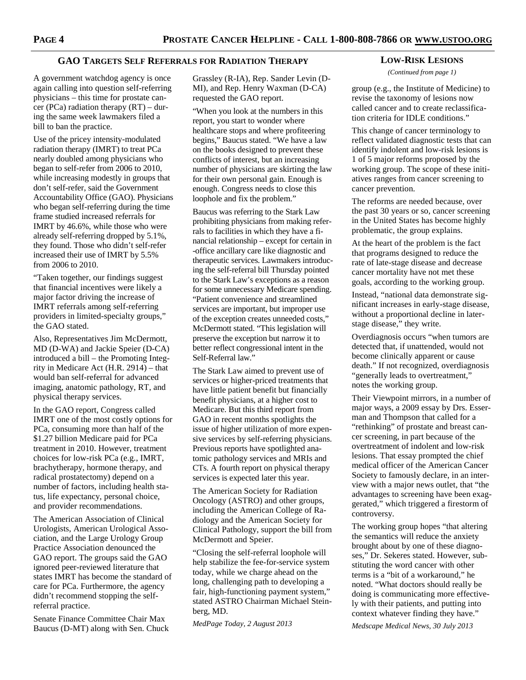# **GAO TARGETS SELF REFERRALS FOR RADIATION THERAPY**

A government watchdog agency is once again calling into question self-referring physicians – this time for prostate cancer (PCa) radiation therapy  $(RT)$  – during the same week lawmakers filed a bill to ban the practice.

Use of the pricey intensity-modulated radiation therapy (IMRT) to treat PCa nearly doubled among physicians who began to self-refer from 2006 to 2010, while increasing modestly in groups that don't self-refer, said the Government Accountability Office (GAO). Physicians who began self-referring during the time frame studied increased referrals for IMRT by 46.6%, while those who were already self-referring dropped by 5.1%, they found. Those who didn't self-refer increased their use of IMRT by 5.5% from 2006 to 2010.

"Taken together, our findings suggest that financial incentives were likely a major factor driving the increase of IMRT referrals among self-referring providers in limited-specialty groups," the GAO stated.

Also, Representatives Jim McDermott, MD (D-WA) and Jackie Speier (D-CA) introduced a bill – the Promoting Integrity in Medicare Act (H.R. 2914) – that would ban self-referral for advanced imaging, anatomic pathology, RT, and physical therapy services.

In the GAO report, Congress called IMRT one of the most costly options for PCa, consuming more than half of the \$1.27 billion Medicare paid for PCa treatment in 2010. However, treatment choices for low-risk PCa (e.g., IMRT, brachytherapy, hormone therapy, and radical prostatectomy) depend on a number of factors, including health status, life expectancy, personal choice, and provider recommendations.

The American Association of Clinical Urologists, American Urological Association, and the Large Urology Group Practice Association denounced the GAO report. The groups said the GAO ignored peer-reviewed literature that states IMRT has become the standard of care for PCa. Furthermore, the agency didn't recommend stopping the selfreferral practice.

Senate Finance Committee Chair Max Baucus (D-MT) along with Sen. Chuck Grassley (R-IA), Rep. Sander Levin (D-MI), and Rep. Henry Waxman (D-CA) requested the GAO report.

"When you look at the numbers in this report, you start to wonder where healthcare stops and where profiteering begins," Baucus stated. "We have a law on the books designed to prevent these conflicts of interest, but an increasing number of physicians are skirting the law for their own personal gain. Enough is enough. Congress needs to close this loophole and fix the problem."

Baucus was referring to the Stark Law prohibiting physicians from making referrals to facilities in which they have a financial relationship – except for certain in -office ancillary care like diagnostic and therapeutic services. Lawmakers introducing the self-referral bill Thursday pointed to the Stark Law's exceptions as a reason for some unnecessary Medicare spending. "Patient convenience and streamlined services are important, but improper use of the exception creates unneeded costs," McDermott stated. "This legislation will preserve the exception but narrow it to better reflect congressional intent in the Self-Referral law."

The Stark Law aimed to prevent use of services or higher-priced treatments that have little patient benefit but financially benefit physicians, at a higher cost to Medicare. But this third report from GAO in recent months spotlights the issue of higher utilization of more expensive services by self-referring physicians. Previous reports have spotlighted anatomic pathology services and MRIs and CTs. A fourth report on physical therapy services is expected later this year.

The American Society for Radiation Oncology (ASTRO) and other groups, including the American College of Radiology and the American Society for Clinical Pathology, support the bill from McDermott and Speier.

"Closing the self-referral loophole will help stabilize the fee-for-service system today, while we charge ahead on the long, challenging path to developing a fair, high-functioning payment system," stated ASTRO Chairman Michael Steinberg, MD.

*MedPage Today, 2 August 2013* 

### **LOW-RISK LESIONS**

*(Continued from page 1)* 

group (e.g., the Institute of Medicine) to revise the taxonomy of lesions now called cancer and to create reclassification criteria for IDLE conditions."

This change of cancer terminology to reflect validated diagnostic tests that can identify indolent and low-risk lesions is 1 of 5 major reforms proposed by the working group. The scope of these initiatives ranges from cancer screening to cancer prevention.

The reforms are needed because, over the past 30 years or so, cancer screening in the United States has become highly problematic, the group explains.

At the heart of the problem is the fact that programs designed to reduce the rate of late-stage disease and decrease cancer mortality have not met these goals, according to the working group.

Instead, "national data demonstrate significant increases in early-stage disease, without a proportional decline in laterstage disease," they write.

Overdiagnosis occurs "when tumors are detected that, if unattended, would not become clinically apparent or cause death." If not recognized, overdiagnosis "generally leads to overtreatment," notes the working group.

Their Viewpoint mirrors, in a number of major ways, a 2009 essay by Drs. Esserman and Thompson that called for a "rethinking" of prostate and breast cancer screening, in part because of the overtreatment of indolent and low-risk lesions. That essay prompted the chief medical officer of the American Cancer Society to famously declare, in an interview with a major news outlet, that "the advantages to screening have been exaggerated," which triggered a firestorm of controversy.

The working group hopes "that altering the semantics will reduce the anxiety brought about by one of these diagnoses," Dr. Sekeres stated. However, substituting the word cancer with other terms is a "bit of a workaround," he noted. "What doctors should really be doing is communicating more effectively with their patients, and putting into context whatever finding they have."

*Medscape Medical News, 30 July 2013*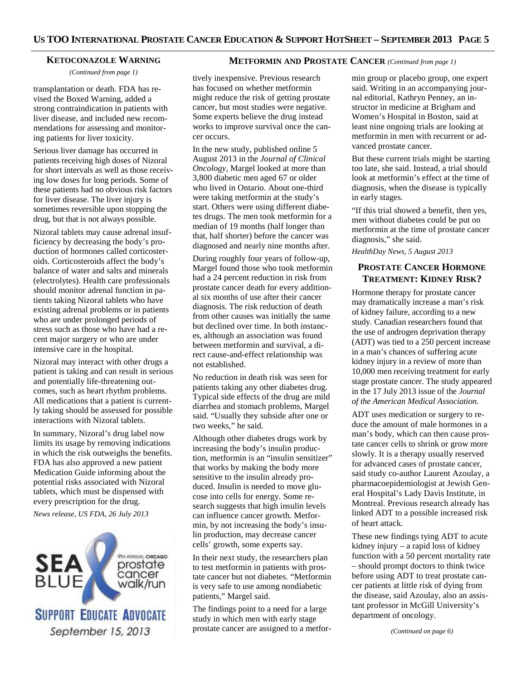### **KETOCONAZOLE WARNING**

*(Continued from page 1)* 

transplantation or death. FDA has revised the Boxed Warning, added a strong contraindication in patients with liver disease, and included new recommendations for assessing and monitoring patients for liver toxicity.

Serious liver damage has occurred in patients receiving high doses of Nizoral for short intervals as well as those receiving low doses for long periods. Some of these patients had no obvious risk factors for liver disease. The liver injury is sometimes reversible upon stopping the drug, but that is not always possible.

Nizoral tablets may cause adrenal insufficiency by decreasing the body's production of hormones called corticosteroids. Corticosteroids affect the body's balance of water and salts and minerals (electrolytes). Health care professionals should monitor adrenal function in patients taking Nizoral tablets who have existing adrenal problems or in patients who are under prolonged periods of stress such as those who have had a recent major surgery or who are under intensive care in the hospital.

Nizoral may interact with other drugs a patient is taking and can result in serious and potentially life-threatening outcomes, such as heart rhythm problems. All medications that a patient is currently taking should be assessed for possible interactions with Nizoral tablets.

In summary, Nizoral's drug label now limits its usage by removing indications in which the risk outweighs the benefits. FDA has also approved a new patient Medication Guide informing about the potential risks associated with Nizoral tablets, which must be dispensed with every prescription for the drug. *News release, US FDA, 26 July 2013* 

9TH ANNUAL CHICAGO SEA prostate cancer walk/run **SUPPORT EDUCATE ADVOCATE** September 15, 2013

# **METFORMIN AND PROSTATE CANCER** *(Continued from page 1)*

tively inexpensive. Previous research has focused on whether metformin might reduce the risk of getting prostate cancer, but most studies were negative. Some experts believe the drug instead works to improve survival once the cancer occurs.

In the new study, published online 5 August 2013 in the *Journal of Clinical Oncology*, Margel looked at more than 3,800 diabetic men aged 67 or older who lived in Ontario. About one-third were taking metformin at the study's start. Others were using different diabetes drugs. The men took metformin for a median of 19 months (half longer than that, half shorter) before the cancer was diagnosed and nearly nine months after.

During roughly four years of follow-up, Margel found those who took metformin had a 24 percent reduction in risk from prostate cancer death for every additional six months of use after their cancer diagnosis. The risk reduction of death from other causes was initially the same but declined over time. In both instances, although an association was found between metformin and survival, a direct cause-and-effect relationship was not established.

No reduction in death risk was seen for patients taking any other diabetes drug. Typical side effects of the drug are mild diarrhea and stomach problems, Margel said. "Usually they subside after one or two weeks," he said.

Although other diabetes drugs work by increasing the body's insulin production, metformin is an "insulin sensitizer" that works by making the body more sensitive to the insulin already produced. Insulin is needed to move glucose into cells for energy. Some research suggests that high insulin levels can influence cancer growth. Metformin, by not increasing the body's insulin production, may decrease cancer cells' growth, some experts say.

In their next study, the researchers plan to test metformin in patients with prostate cancer but not diabetes. "Metformin is very safe to use among nondiabetic patients," Margel said.

The findings point to a need for a large study in which men with early stage prostate cancer are assigned to a metformin group or placebo group, one expert said. Writing in an accompanying journal editorial, Kathryn Penney, an instructor in medicine at Brigham and Women's Hospital in Boston, said at least nine ongoing trials are looking at metformin in men with recurrent or advanced prostate cancer.

But these current trials might be starting too late, she said. Instead, a trial should look at metformin's effect at the time of diagnosis, when the disease is typically in early stages.

"If this trial showed a benefit, then yes, men without diabetes could be put on metformin at the time of prostate cancer diagnosis," she said.

*HealthDay News, 5 August 2013*

# **PROSTATE CANCER HORMONE TREATMENT: KIDNEY RISK?**

Hormone therapy for prostate cancer may dramatically increase a man's risk of kidney failure, according to a new study. Canadian researchers found that the use of androgen deprivation therapy (ADT) was tied to a 250 percent increase in a man's chances of suffering acute kidney injury in a review of more than 10,000 men receiving treatment for early stage prostate cancer. The study appeared in the 17 July 2013 issue of the *Journal of the American Medical Association*.

ADT uses medication or surgery to reduce the amount of male hormones in a man's body, which can then cause prostate cancer cells to shrink or grow more slowly. It is a therapy usually reserved for advanced cases of prostate cancer, said study co-author Laurent Azoulay, a pharmacoepidemiologist at Jewish General Hospital's Lady Davis Institute, in Montreal. Previous research already has linked ADT to a possible increased risk of heart attack.

These new findings tying ADT to acute kidney injury – a rapid loss of kidney function with a 50 percent mortality rate – should prompt doctors to think twice before using ADT to treat prostate cancer patients at little risk of dying from the disease, said Azoulay, also an assistant professor in McGill University's department of oncology.

*(Continued on page 6)*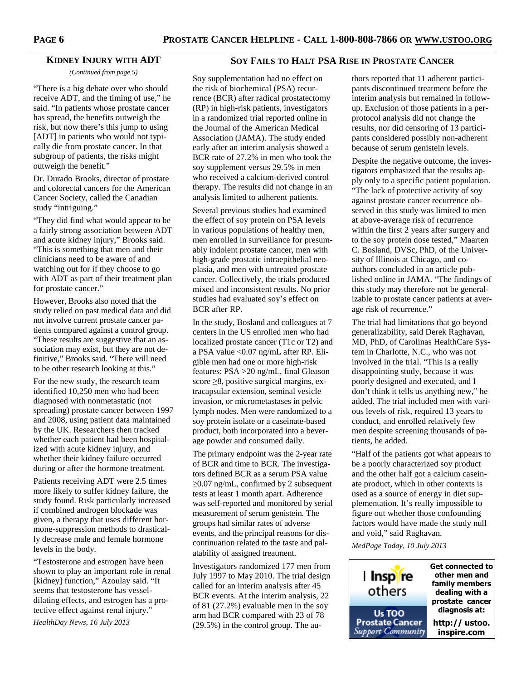# **KIDNEY INJURY WITH ADT**

*(Continued from page 5)* 

"There is a big debate over who should receive ADT, and the timing of use," he said. "In patients whose prostate cancer has spread, the benefits outweigh the risk, but now there's this jump to using [ADT] in patients who would not typically die from prostate cancer. In that subgroup of patients, the risks might outweigh the benefit."

Dr. Durado Brooks, director of prostate and colorectal cancers for the American Cancer Society, called the Canadian study "intriguing."

"They did find what would appear to be a fairly strong association between ADT and acute kidney injury," Brooks said. "This is something that men and their clinicians need to be aware of and watching out for if they choose to go with ADT as part of their treatment plan for prostate cancer."

However, Brooks also noted that the study relied on past medical data and did not involve current prostate cancer patients compared against a control group. "These results are suggestive that an association may exist, but they are not definitive," Brooks said. "There will need to be other research looking at this."

For the new study, the research team identified 10,250 men who had been diagnosed with nonmetastatic (not spreading) prostate cancer between 1997 and 2008, using patient data maintained by the UK. Researchers then tracked whether each patient had been hospitalized with acute kidney injury, and whether their kidney failure occurred during or after the hormone treatment.

Patients receiving ADT were 2.5 times more likely to suffer kidney failure, the study found. Risk particularly increased if combined androgen blockade was given, a therapy that uses different hormone-suppression methods to drastically decrease male and female hormone levels in the body.

"Testosterone and estrogen have been shown to play an important role in renal [kidney] function," Azoulay said. "It seems that testosterone has vesseldilating effects, and estrogen has a protective effect against renal injury."

*HealthDay News, 16 July 2013* 

# **SOY FAILS TO HALT PSA RISE IN PROSTATE CANCER**

Soy supplementation had no effect on the risk of biochemical (PSA) recurrence (BCR) after radical prostatectomy (RP) in high-risk patients, investigators in a randomized trial reported online in the Journal of the American Medical Association (JAMA). The study ended early after an interim analysis showed a BCR rate of 27.2% in men who took the soy supplement versus 29.5% in men who received a calcium-derived control therapy. The results did not change in an analysis limited to adherent patients.

Several previous studies had examined the effect of soy protein on PSA levels in various populations of healthy men, men enrolled in surveillance for presumably indolent prostate cancer, men with high-grade prostatic intraepithelial neoplasia, and men with untreated prostate cancer. Collectively, the trials produced mixed and inconsistent results. No prior studies had evaluated soy's effect on BCR after RP.

In the study, Bosland and colleagues at 7 centers in the US enrolled men who had localized prostate cancer (T1c or T2) and a PSA value <0.07 ng/mL after RP. Eligible men had one or more high-risk features: PSA >20 ng/mL, final Gleason score ≥8, positive surgical margins, extracapsular extension, seminal vesicle invasion, or micrometastases in pelvic lymph nodes. Men were randomized to a soy protein isolate or a caseinate-based product, both incorporated into a beverage powder and consumed daily.

The primary endpoint was the 2-year rate of BCR and time to BCR. The investigators defined BCR as a serum PSA value ≥0.07 ng/mL, confirmed by 2 subsequent tests at least 1 month apart. Adherence was self-reported and monitored by serial measurement of serum genistein. The groups had similar rates of adverse events, and the principal reasons for discontinuation related to the taste and palatability of assigned treatment.

Investigators randomized 177 men from July 1997 to May 2010. The trial design called for an interim analysis after 45 BCR events. At the interim analysis, 22 of 81 (27.2%) evaluable men in the soy arm had BCR compared with 23 of 78 (29.5%) in the control group. The au-

thors reported that 11 adherent participants discontinued treatment before the interim analysis but remained in followup. Exclusion of those patients in a perprotocol analysis did not change the results, nor did censoring of 13 participants considered possibly non-adherent because of serum genistein levels.

Despite the negative outcome, the investigators emphasized that the results apply only to a specific patient population. "The lack of protective activity of soy against prostate cancer recurrence observed in this study was limited to men at above-average risk of recurrence within the first 2 years after surgery and to the soy protein dose tested," Maarten C. Bosland, DVSc, PhD, of the University of Illinois at Chicago, and coauthors concluded in an article published online in JAMA. "The findings of this study may therefore not be generalizable to prostate cancer patients at average risk of recurrence."

The trial had limitations that go beyond generalizability, said Derek Raghavan, MD, PhD, of Carolinas HealthCare System in Charlotte, N.C., who was not involved in the trial. "This is a really disappointing study, because it was poorly designed and executed, and I don't think it tells us anything new," he added. The trial included men with various levels of risk, required 13 years to conduct, and enrolled relatively few men despite screening thousands of patients, he added.

"Half of the patients got what appears to be a poorly characterized soy product and the other half got a calcium caseinate product, which in other contexts is used as a source of energy in diet supplementation. It's really impossible to figure out whether those confounding factors would have made the study null and void," said Raghavan.

*MedPage Today, 10 July 2013* 

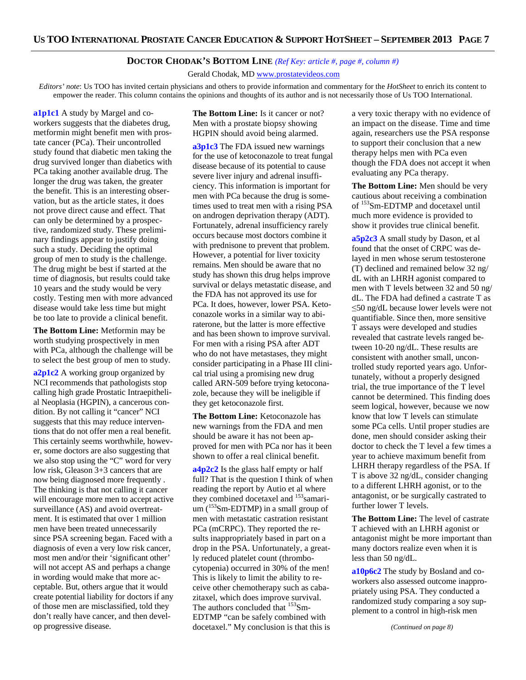# **DOCTOR CHODAK'S BOTTOM LINE** *(Ref Key: article #, page #, column #)*

Gerald Chodak, MD www.prostatevideos.com

*Editors' note*: Us TOO has invited certain physicians and others to provide information and commentary for the *HotSheet* to enrich its content to empower the reader. This column contains the opinions and thoughts of its author and is not necessarily those of Us TOO International.

**a1p1c1** A study by Margel and coworkers suggests that the diabetes drug, metformin might benefit men with prostate cancer (PCa). Their uncontrolled study found that diabetic men taking the drug survived longer than diabetics with PCa taking another available drug. The longer the drug was taken, the greater the benefit. This is an interesting observation, but as the article states, it does not prove direct cause and effect. That can only be determined by a prospective, randomized study. These preliminary findings appear to justify doing such a study. Deciding the optimal group of men to study is the challenge. The drug might be best if started at the time of diagnosis, but results could take 10 years and the study would be very costly. Testing men with more advanced disease would take less time but might be too late to provide a clinical benefit.

**The Bottom Line:** Metformin may be worth studying prospectively in men with PCa, although the challenge will be to select the best group of men to study.

**a2p1c2** A working group organized by NCI recommends that pathologists stop calling high grade Prostatic Intraepithelial Neoplasia (HGPIN), a cancerous condition. By not calling it "cancer" NCI suggests that this may reduce interventions that do not offer men a real benefit. This certainly seems worthwhile, however, some doctors are also suggesting that we also stop using the "C" word for very low risk, Gleason 3+3 cancers that are now being diagnosed more frequently . The thinking is that not calling it cancer will encourage more men to accept active surveillance (AS) and avoid overtreatment. It is estimated that over 1 million men have been treated unnecessarily since PSA screening began. Faced with a diagnosis of even a very low risk cancer, most men and/or their 'significant other' will not accept AS and perhaps a change in wording would make that more acceptable. But, others argue that it would create potential liability for doctors if any of those men are misclassified, told they don't really have cancer, and then develop progressive disease.

**The Bottom Line:** Is it cancer or not? Men with a prostate biopsy showing HGPIN should avoid being alarmed.

**a3p1c3** The FDA issued new warnings for the use of ketoconazole to treat fungal disease because of its potential to cause severe liver injury and adrenal insufficiency. This information is important for men with PCa because the drug is sometimes used to treat men with a rising PSA on androgen deprivation therapy (ADT). Fortunately, adrenal insufficiency rarely occurs because most doctors combine it with prednisone to prevent that problem. However, a potential for liver toxicity remains. Men should be aware that no study has shown this drug helps improve survival or delays metastatic disease, and the FDA has not approved its use for PCa. It does, however, lower PSA. Ketoconazole works in a similar way to abiraterone, but the latter is more effective and has been shown to improve survival. For men with a rising PSA after ADT who do not have metastases, they might consider participating in a Phase III clinical trial using a promising new drug called ARN-509 before trying ketoconazole, because they will be ineligible if they get ketoconazole first.

**The Bottom Line:** Ketoconazole has new warnings from the FDA and men should be aware it has not been approved for men with PCa nor has it been shown to offer a real clinical benefit.

**a4p2c2** Is the glass half empty or half full? That is the question I think of when reading the report by Autio et al where they combined docetaxel and <sup>153</sup>samarium  $(^{153}Sm$ -EDTMP) in a small group of men with metastatic castration resistant PCa (mCRPC). They reported the results inappropriately based in part on a drop in the PSA. Unfortunately, a greatly reduced platelet count (thrombocytopenia) occurred in 30% of the men! This is likely to limit the ability to receive other chemotherapy such as cabazitaxel, which does improve survival. The authors concluded that <sup>153</sup>Sm-EDTMP "can be safely combined with docetaxel." My conclusion is that this is

a very toxic therapy with no evidence of an impact on the disease. Time and time again, researchers use the PSA response to support their conclusion that a new therapy helps men with PCa even though the FDA does not accept it when evaluating any PCa therapy.

**The Bottom Line:** Men should be very cautious about receiving a combination of <sup>153</sup>Sm-EDTMP and docetaxel until much more evidence is provided to show it provides true clinical benefit.

**a5p2c3** A small study by Dason, et al found that the onset of CRPC was delayed in men whose serum testosterone (T) declined and remained below 32 ng/ dL with an LHRH agonist compared to men with T levels between 32 and 50 ng/ dL. The FDA had defined a castrate T as ≤50 ng/dL because lower levels were not quantifiable. Since then, more sensitive T assays were developed and studies revealed that castrate levels ranged between 10-20 ng/dL. These results are consistent with another small, uncontrolled study reported years ago. Unfortunately, without a properly designed trial, the true importance of the T level cannot be determined. This finding does seem logical, however, because we now know that low T levels can stimulate some PCa cells. Until proper studies are done, men should consider asking their doctor to check the T level a few times a year to achieve maximum benefit from LHRH therapy regardless of the PSA. If T is above 32 ng/dL, consider changing to a different LHRH agonist, or to the antagonist, or be surgically castrated to further lower T levels.

**The Bottom Line:** The level of castrate T achieved with an LHRH agonist or antagonist might be more important than many doctors realize even when it is less than 50 ng/dL.

**a10p6c2** The study by Bosland and coworkers also assessed outcome inappropriately using PSA. They conducted a randomized study comparing a soy supplement to a control in high-risk men

*(Continued on page 8)*